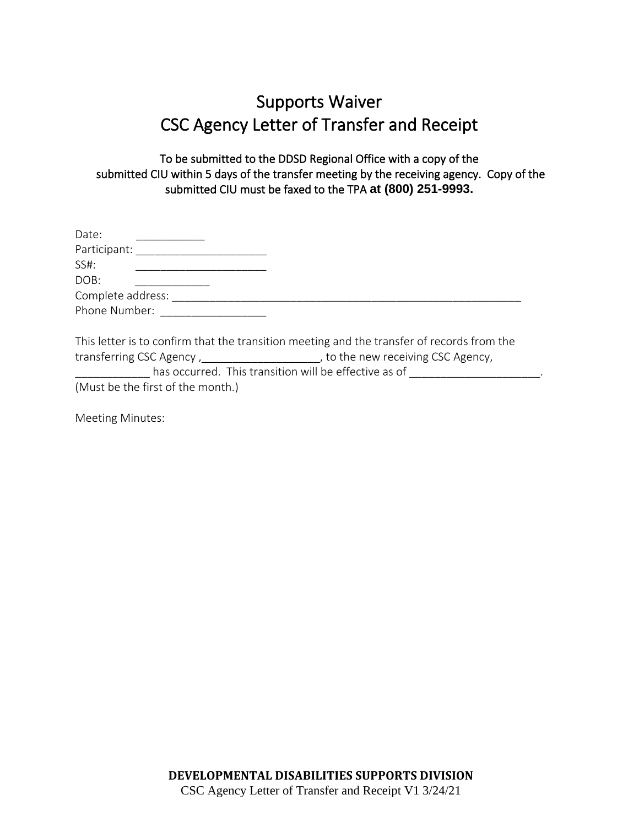## Supports Waiver CSC Agency Letter of Transfer and Receipt

To be submitted to the DDSD Regional Office with a copy of the submitted CIU within 5 days of the transfer meeting by the receiving agency. Copy of the submitted CIU must be faxed to the TPA **at (800) 251-9993.**

| Date:                                                 |                                                                                            |
|-------------------------------------------------------|--------------------------------------------------------------------------------------------|
| Participant:                                          |                                                                                            |
| SS#:                                                  |                                                                                            |
| DOB:                                                  |                                                                                            |
| Complete address:                                     |                                                                                            |
| Phone Number:                                         |                                                                                            |
|                                                       | This letter is to confirm that the transition meeting and the transfer of records from the |
|                                                       | transferring CSC Agency, the new receiving CSC Agency,                                     |
| has occurred. This transition will be effective as of |                                                                                            |

(Must be the first of the month.)

Meeting Minutes: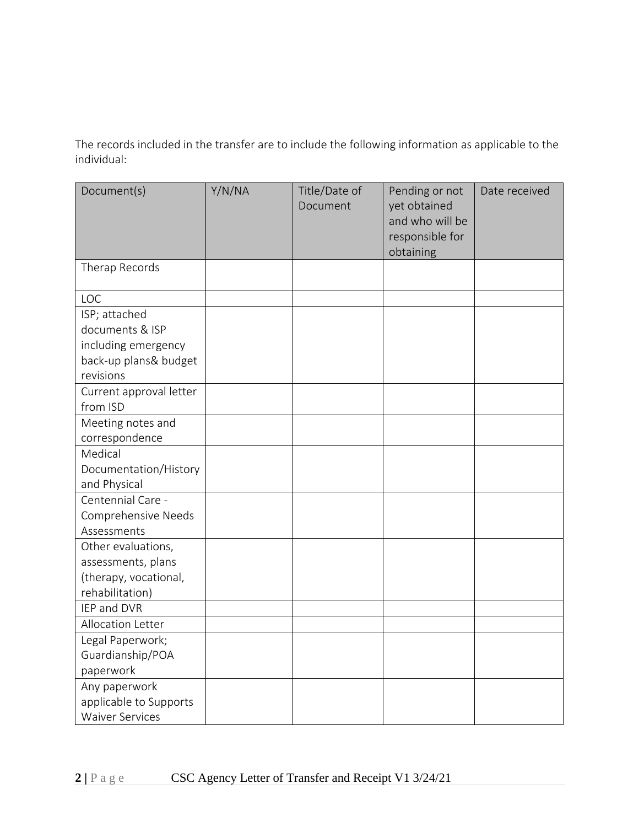The records included in the transfer are to include the following information as applicable to the individual:

| Document(s)             | Y/N/NA | Title/Date of<br>Document | Pending or not<br>yet obtained<br>and who will be<br>responsible for<br>obtaining | Date received |
|-------------------------|--------|---------------------------|-----------------------------------------------------------------------------------|---------------|
| Therap Records          |        |                           |                                                                                   |               |
| LOC                     |        |                           |                                                                                   |               |
| ISP; attached           |        |                           |                                                                                   |               |
| documents & ISP         |        |                           |                                                                                   |               |
| including emergency     |        |                           |                                                                                   |               |
| back-up plans& budget   |        |                           |                                                                                   |               |
| revisions               |        |                           |                                                                                   |               |
| Current approval letter |        |                           |                                                                                   |               |
| from ISD                |        |                           |                                                                                   |               |
| Meeting notes and       |        |                           |                                                                                   |               |
| correspondence          |        |                           |                                                                                   |               |
| Medical                 |        |                           |                                                                                   |               |
| Documentation/History   |        |                           |                                                                                   |               |
| and Physical            |        |                           |                                                                                   |               |
| Centennial Care -       |        |                           |                                                                                   |               |
| Comprehensive Needs     |        |                           |                                                                                   |               |
| Assessments             |        |                           |                                                                                   |               |
| Other evaluations,      |        |                           |                                                                                   |               |
| assessments, plans      |        |                           |                                                                                   |               |
| (therapy, vocational,   |        |                           |                                                                                   |               |
| rehabilitation)         |        |                           |                                                                                   |               |
| IEP and DVR             |        |                           |                                                                                   |               |
| Allocation Letter       |        |                           |                                                                                   |               |
| Legal Paperwork;        |        |                           |                                                                                   |               |
| Guardianship/POA        |        |                           |                                                                                   |               |
| paperwork               |        |                           |                                                                                   |               |
| Any paperwork           |        |                           |                                                                                   |               |
| applicable to Supports  |        |                           |                                                                                   |               |
| <b>Waiver Services</b>  |        |                           |                                                                                   |               |